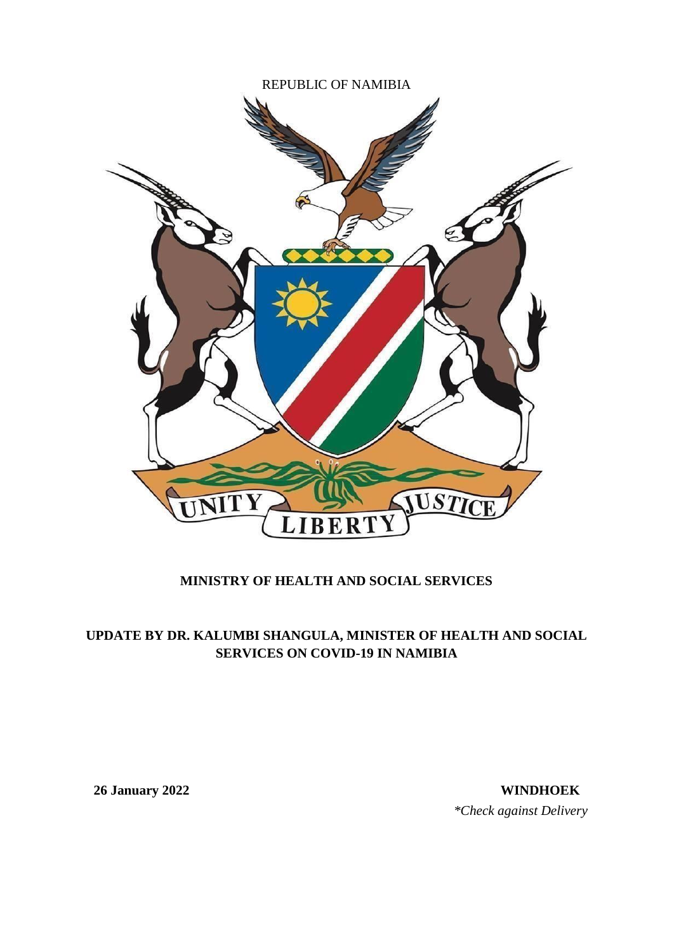

## **MINISTRY OF HEALTH AND SOCIAL SERVICES**

## **UPDATE BY DR. KALUMBI SHANGULA, MINISTER OF HEALTH AND SOCIAL SERVICES ON COVID-19 IN NAMIBIA**

**26 January 2022 WINDHOEK** *\*Check against Delivery*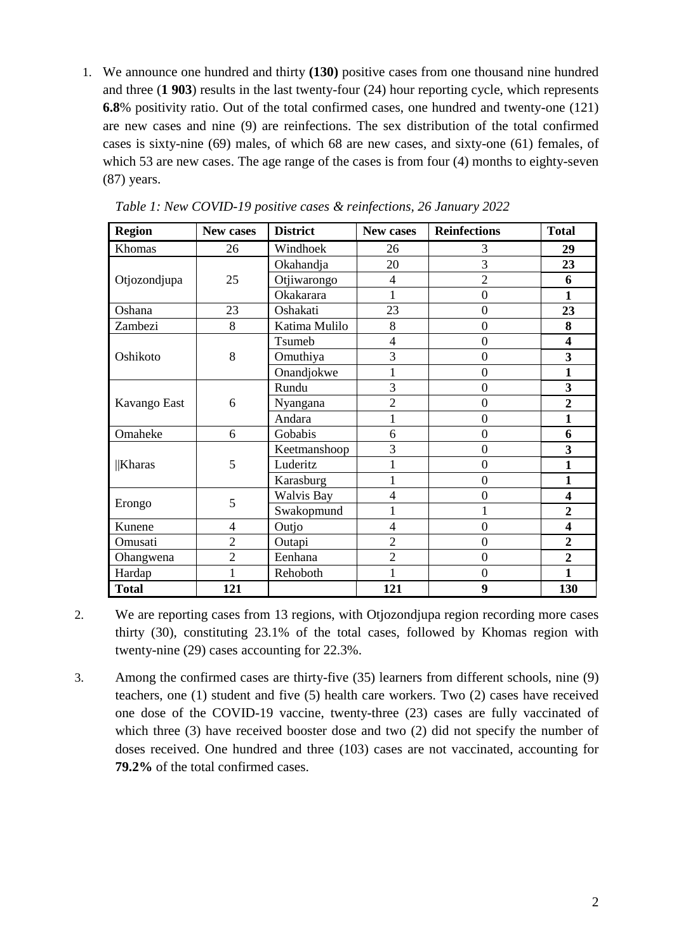1. We announce one hundred and thirty **(130)** positive cases from one thousand nine hundred and three (**1 903**) results in the last twenty-four (24) hour reporting cycle, which represents **6.8**% positivity ratio. Out of the total confirmed cases, one hundred and twenty-one (121) are new cases and nine (9) are reinfections. The sex distribution of the total confirmed cases is sixty-nine (69) males, of which 68 are new cases, and sixty-one (61) females, of which 53 are new cases. The age range of the cases is from four (4) months to eighty-seven (87) years.

| <b>Region</b> | New cases      | <b>District</b> | New cases      | <b>Reinfections</b> | <b>Total</b>            |
|---------------|----------------|-----------------|----------------|---------------------|-------------------------|
| Khomas        | 26             | Windhoek        | 26             | 3                   | 29                      |
|               |                | Okahandja       | 20             | 3                   | 23                      |
| Otjozondjupa  | 25             | Otjiwarongo     | 4              | $\overline{2}$      | 6                       |
|               |                | Okakarara       |                | $\overline{0}$      | 1                       |
| Oshana        | 23             | Oshakati        | 23             | $\overline{0}$      | 23                      |
| Zambezi       | 8              | Katima Mulilo   | 8              | $\overline{0}$      | 8                       |
|               |                | Tsumeb          | $\overline{4}$ | $\overline{0}$      | $\overline{\mathbf{4}}$ |
| Oshikoto      | 8              | Omuthiya        | 3              | $\boldsymbol{0}$    | 3                       |
|               |                | Onandjokwe      |                | $\overline{0}$      | $\mathbf{1}$            |
|               |                | Rundu           | 3              | $\overline{0}$      | 3                       |
| Kavango East  | 6              | Nyangana        | $\overline{2}$ | $\boldsymbol{0}$    | $\overline{2}$          |
|               |                | Andara          |                | $\overline{0}$      | $\mathbf{1}$            |
| Omaheke       | 6              | Gobabis         | 6              | $\overline{0}$      | 6                       |
|               |                | Keetmanshoop    | 3              | $\overline{0}$      | 3                       |
| <b>Kharas</b> | 5              | Luderitz        |                | $\overline{0}$      | $\mathbf{1}$            |
|               |                | Karasburg       | 1              | $\overline{0}$      | $\mathbf{1}$            |
|               | 5              | Walvis Bay      | $\overline{4}$ | $\overline{0}$      | $\overline{\mathbf{4}}$ |
| Erongo        |                | Swakopmund      | 1              | $\mathbf{1}$        | $\overline{2}$          |
| Kunene        | $\overline{4}$ | Outjo           | $\overline{4}$ | $\overline{0}$      | $\overline{\mathbf{4}}$ |
| Omusati       | $\overline{2}$ | Outapi          | $\overline{2}$ | $\overline{0}$      | $\overline{2}$          |
| Ohangwena     | $\overline{2}$ | Eenhana         | $\overline{2}$ | $\overline{0}$      | $\overline{2}$          |
| Hardap        |                | Rehoboth        | 1              | $\overline{0}$      | 1                       |
| <b>Total</b>  | 121            |                 | 121            | 9                   | 130                     |

*Table 1: New COVID-19 positive cases & reinfections, 26 January 2022*

- 2. We are reporting cases from 13 regions, with Otjozondjupa region recording more cases thirty (30), constituting 23.1% of the total cases, followed by Khomas region with twenty-nine (29) cases accounting for 22.3%.
- 3. Among the confirmed cases are thirty-five (35) learners from different schools, nine (9) teachers, one (1) student and five (5) health care workers. Two (2) cases have received one dose of the COVID-19 vaccine, twenty-three (23) cases are fully vaccinated of which three (3) have received booster dose and two (2) did not specify the number of doses received. One hundred and three (103) cases are not vaccinated, accounting for **79.2%** of the total confirmed cases.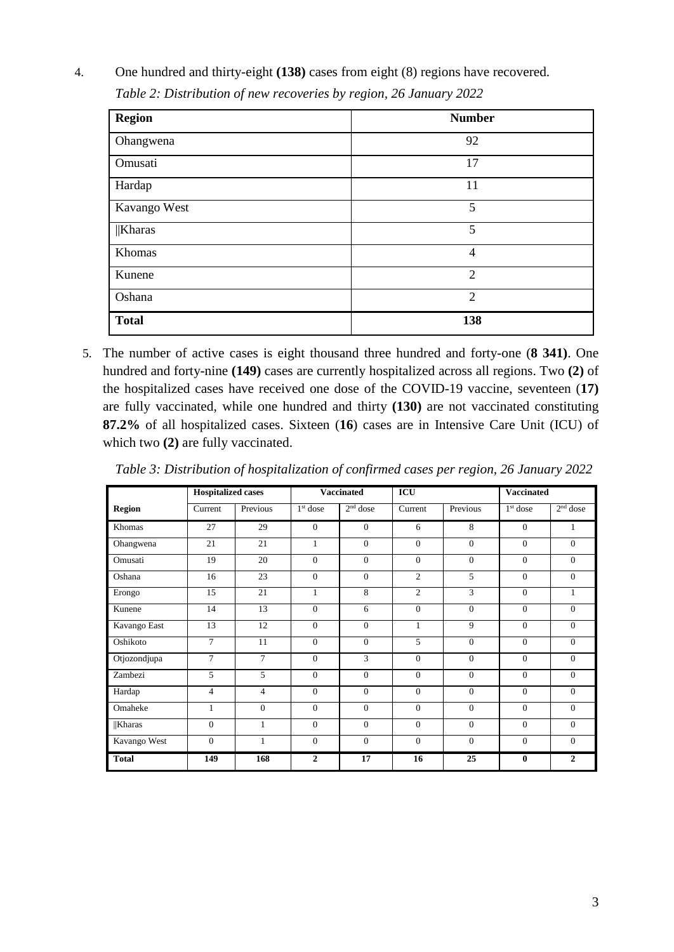| <b>Region</b> | <b>Number</b>  |
|---------------|----------------|
| Ohangwena     | 92             |
| Omusati       | 17             |
| Hardap        | 11             |
| Kavango West  | 5              |
| $\ $ Kharas   | 5              |
| Khomas        | $\overline{4}$ |
| Kunene        | $\overline{2}$ |
| Oshana        | $\overline{2}$ |
| <b>Total</b>  | 138            |

4. One hundred and thirty-eight **(138)** cases from eight (8) regions have recovered.  *Table 2: Distribution of new recoveries by region, 26 January 2022*

5. The number of active cases is eight thousand three hundred and forty-one (**8 341)**. One hundred and forty-nine **(149)** cases are currently hospitalized across all regions. Two **(2)** of the hospitalized cases have received one dose of the COVID-19 vaccine, seventeen (**17)** are fully vaccinated, while one hundred and thirty **(130)** are not vaccinated constituting **87.2%** of all hospitalized cases. Sixteen (**16**) cases are in Intensive Care Unit (ICU) of which two **(2)** are fully vaccinated.

|               | <b>Hospitalized cases</b> |                |              | <b>Vaccinated</b> | ICU            |              | <b>Vaccinated</b> |                |
|---------------|---------------------------|----------------|--------------|-------------------|----------------|--------------|-------------------|----------------|
| <b>Region</b> | Current                   | Previous       | $1st$ dose   | $2nd$ dose        | Current        | Previous     | $1st$ dose        | $2nd$ dose     |
| Khomas        | 27                        | 29             | $\mathbf{0}$ | $\Omega$          | 6              | 8            | $\overline{0}$    | 1              |
| Ohangwena     | 21                        | 21             | $\mathbf{1}$ | $\Omega$          | $\Omega$       | $\theta$     | $\Omega$          | $\Omega$       |
| Omusati       | 19                        | 20             | $\Omega$     | $\Omega$          | $\Omega$       | $\Omega$     | $\theta$          | $\Omega$       |
| Oshana        | 16                        | 23             | $\Omega$     | $\Omega$          | $\overline{2}$ | 5            | $\Omega$          | $\Omega$       |
| Erongo        | 15                        | 21             | $\mathbf{1}$ | 8                 | $\overline{2}$ | 3            | $\Omega$          | 1              |
| Kunene        | 14                        | 13             | $\Omega$     | 6                 | $\theta$       | $\theta$     | $\Omega$          | $\Omega$       |
| Kavango East  | 13                        | 12             | $\mathbf{0}$ | $\Omega$          | $\mathbf{1}$   | 9            | $\overline{0}$    | $\theta$       |
| Oshikoto      | $\tau$                    | 11             | $\Omega$     | $\Omega$          | 5              | $\mathbf{0}$ | $\overline{0}$    | $\mathbf{0}$   |
| Otjozondjupa  | $\overline{7}$            | $\overline{7}$ | $\Omega$     | 3                 | $\mathbf{0}$   | $\mathbf{0}$ | $\mathbf{0}$      | $\Omega$       |
| Zambezi       | 5                         | 5              | $\Omega$     | $\Omega$          | $\Omega$       | $\theta$     | $\Omega$          | $\Omega$       |
| Hardap        | 4                         | 4              | $\Omega$     | $\Omega$          | $\theta$       | $\Omega$     | $\Omega$          | $\Omega$       |
| Omaheke       | 1                         | $\Omega$       | $\Omega$     | $\Omega$          | $\theta$       | $\theta$     | $\overline{0}$    | $\Omega$       |
| <b>Kharas</b> | $\theta$                  | 1              | $\theta$     | $\Omega$          | $\Omega$       | $\Omega$     | $\Omega$          | $\Omega$       |
| Kavango West  | $\overline{0}$            | $\mathbf{1}$   | $\mathbf{0}$ | $\mathbf{0}$      | $\mathbf{0}$   | $\mathbf{0}$ | $\overline{0}$    | $\mathbf{0}$   |
| <b>Total</b>  | 149                       | 168            | $\mathbf{2}$ | 17                | 16             | 25           | $\bf{0}$          | $\overline{c}$ |

*Table 3: Distribution of hospitalization of confirmed cases per region, 26 January 2022*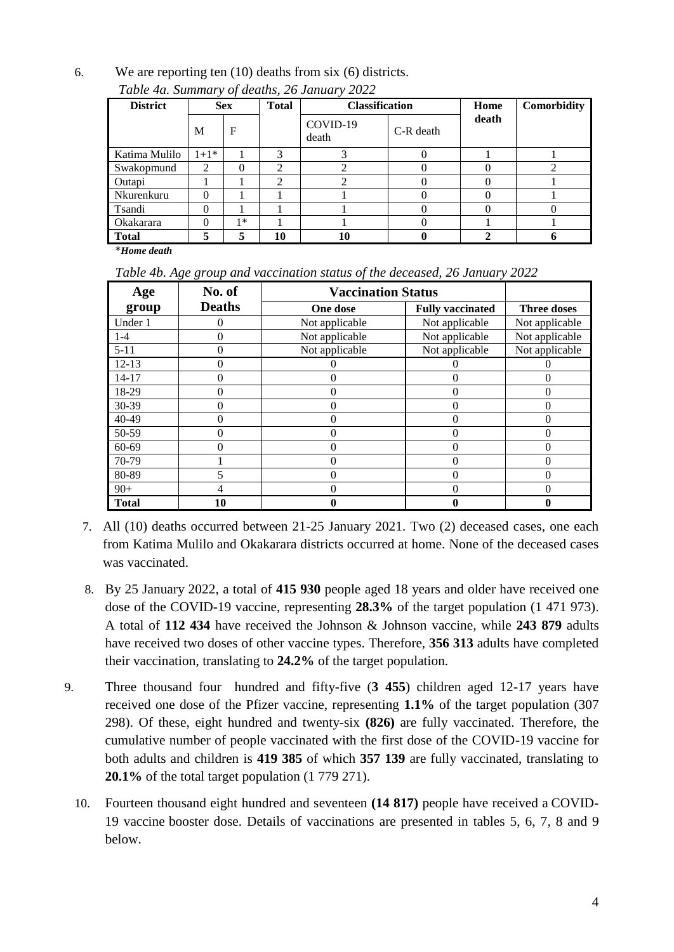6. We are reporting ten (10) deaths from six (6) districts.

| <b>District</b> | <b>Sex</b> |      | <b>Total</b>   | <b>Classification</b> |             | Home  | <b>Comorbidity</b> |
|-----------------|------------|------|----------------|-----------------------|-------------|-------|--------------------|
|                 | M          | F    |                | COVID-19<br>death     | $C-R$ death | death |                    |
| Katima Mulilo   | $1+1*$     |      | 3              | 3                     |             |       |                    |
| Swakopmund      | 2          | 0    | $\mathfrak{D}$ |                       |             |       |                    |
| Outapi          |            |      | ↑              | ◠                     |             |       |                    |
| Nkurenkuru      | 0          |      |                |                       |             |       |                    |
| Tsandi          | 0          |      |                |                       |             |       |                    |
| Okakarara       |            | $1*$ |                |                       |             |       |                    |
| <b>Total</b>    |            | 5    | 10             | 10                    |             |       |                    |

*Table 4a. Summary of deaths, 26 January 2022*

\**Home death*

| Table 4b. Age group and vaccination status of the deceased, 26 January 2022 |  |  |  |
|-----------------------------------------------------------------------------|--|--|--|
|                                                                             |  |  |  |

| Age          | No. of        | <b>Vaccination Status</b> |                         |                    |
|--------------|---------------|---------------------------|-------------------------|--------------------|
| group        | <b>Deaths</b> | One dose                  | <b>Fully vaccinated</b> | <b>Three doses</b> |
| Under 1      |               | Not applicable            | Not applicable          | Not applicable     |
| $1-4$        | 0             | Not applicable            | Not applicable          | Not applicable     |
| $5 - 11$     |               | Not applicable            | Not applicable          | Not applicable     |
| $12 - 13$    |               |                           |                         |                    |
| 14-17        |               |                           |                         |                    |
| 18-29        |               |                           |                         | 0                  |
| 30-39        |               |                           |                         |                    |
| 40-49        |               |                           |                         |                    |
| 50-59        |               |                           |                         |                    |
| 60-69        |               |                           |                         | 0                  |
| 70-79        |               |                           |                         |                    |
| 80-89        |               |                           |                         |                    |
| $90+$        |               |                           |                         |                    |
| <b>Total</b> | 10            |                           |                         |                    |

- 7. All (10) deaths occurred between 21-25 January 2021. Two (2) deceased cases, one each from Katima Mulilo and Okakarara districts occurred at home. None of the deceased cases was vaccinated.
- 8. By 25 January 2022, a total of **415 930** people aged 18 years and older have received one dose of the COVID-19 vaccine, representing **28.3%** of the target population (1 471 973). A total of **112 434** have received the Johnson & Johnson vaccine, while **243 879** adults have received two doses of other vaccine types. Therefore, **356 313** adults have completed their vaccination, translating to **24.2%** of the target population.
- 9. Three thousand four hundred and fifty-five (**3 455**) children aged 12-17 years have received one dose of the Pfizer vaccine, representing **1.1%** of the target population (307 298). Of these, eight hundred and twenty-six **(826)** are fully vaccinated. Therefore, the cumulative number of people vaccinated with the first dose of the COVID-19 vaccine for both adults and children is **419 385** of which **357 139** are fully vaccinated, translating to **20.1%** of the total target population (1 779 271).
	- 10. Fourteen thousand eight hundred and seventeen **(14 817)** people have received a COVID-19 vaccine booster dose. Details of vaccinations are presented in tables 5, 6, 7, 8 and 9 below.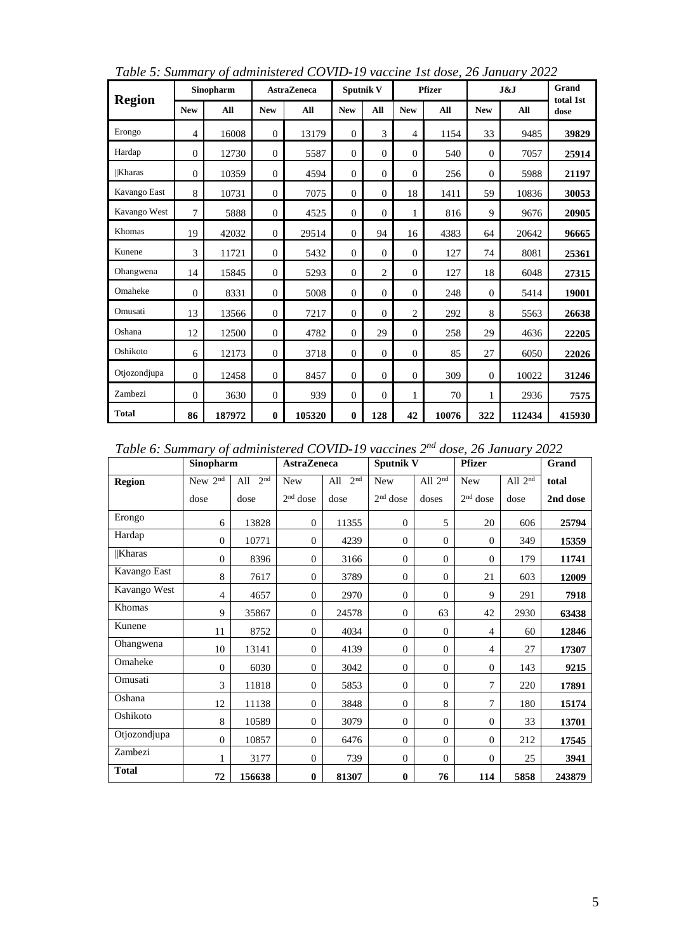| <b>Region</b> |                | Sinopharm |                | <b>AstraZeneca</b> |              | <b>Sputnik V</b> |                | <b>Pfizer</b> |            | J&J    |                   |
|---------------|----------------|-----------|----------------|--------------------|--------------|------------------|----------------|---------------|------------|--------|-------------------|
|               | <b>New</b>     | All       | <b>New</b>     | All                | <b>New</b>   | All              | <b>New</b>     | All           | <b>New</b> | All    | total 1st<br>dose |
| Erongo        | $\overline{4}$ | 16008     | $\mathbf{0}$   | 13179              | $\Omega$     | 3                | $\overline{4}$ | 1154          | 33         | 9485   | 39829             |
| Hardap        | $\mathbf{0}$   | 12730     | $\mathbf{0}$   | 5587               | $\mathbf{0}$ | $\overline{0}$   | $\mathbf{0}$   | 540           | $\theta$   | 7057   | 25914             |
| <b>Kharas</b> | $\Omega$       | 10359     | $\mathbf{0}$   | 4594               | $\theta$     | $\theta$         | $\Omega$       | 256           | $\theta$   | 5988   | 21197             |
| Kavango East  | 8              | 10731     | $\mathbf{0}$   | 7075               | $\theta$     | $\theta$         | 18             | 1411          | 59         | 10836  | 30053             |
| Kavango West  | $\overline{7}$ | 5888      | $\mathbf{0}$   | 4525               | $\Omega$     | $\Omega$         | 1              | 816           | 9          | 9676   | 20905             |
| Khomas        | 19             | 42032     | $\overline{0}$ | 29514              | $\Omega$     | 94               | 16             | 4383          | 64         | 20642  | 96665             |
| Kunene        | 3              | 11721     | $\mathbf{0}$   | 5432               | $\mathbf{0}$ | $\theta$         | $\mathbf{0}$   | 127           | 74         | 8081   | 25361             |
| Ohangwena     | 14             | 15845     | $\mathbf{0}$   | 5293               | $\Omega$     | $\overline{c}$   | $\Omega$       | 127           | 18         | 6048   | 27315             |
| Omaheke       | $\Omega$       | 8331      | $\mathbf{0}$   | 5008               | $\Omega$     | $\Omega$         | $\Omega$       | 248           | $\theta$   | 5414   | 19001             |
| Omusati       | 13             | 13566     | $\mathbf{0}$   | 7217               | $\theta$     | $\Omega$         | $\overline{2}$ | 292           | 8          | 5563   | 26638             |
| Oshana        | 12             | 12500     | $\mathbf{0}$   | 4782               | $\Omega$     | 29               | $\Omega$       | 258           | 29         | 4636   | 22205             |
| Oshikoto      | 6              | 12173     | $\theta$       | 3718               | $\mathbf{0}$ | $\overline{0}$   | $\mathbf{0}$   | 85            | 27         | 6050   | 22026             |
| Otjozondjupa  | $\mathbf{0}$   | 12458     | $\mathbf{0}$   | 8457               | $\mathbf{0}$ | $\theta$         | $\Omega$       | 309           | $\theta$   | 10022  | 31246             |
| Zambezi       | $\Omega$       | 3630      | $\mathbf{0}$   | 939                | $\Omega$     | $\Omega$         | 1              | 70            | 1          | 2936   | 7575              |
| <b>Total</b>  | 86             | 187972    | $\bf{0}$       | 105320             | $\bf{0}$     | 128              | 42             | 10076         | 322        | 112434 | 415930            |

*Table 5: Summary of administered COVID-19 vaccine 1st dose, 26 January 2022*

*Table 6: Summary of administered COVID-19 vaccines 2nd dose, 26 January 2022*

|               | Sinopharm      |                        | <b>AstraZeneca</b> |                        | <b>Sputnik V</b> |                  | <b>Pfizer</b>     |           | Grand    |
|---------------|----------------|------------------------|--------------------|------------------------|------------------|------------------|-------------------|-----------|----------|
| <b>Region</b> | New $2nd$      | 2 <sup>nd</sup><br>All | New                | 2 <sup>nd</sup><br>All | New              | All $2nd$        | New               | All $2nd$ | total    |
|               | dose           | dose                   | $2nd$ dose         | dose                   | $2nd$ dose       | doses            | $2^{\rm nd}$ dose | dose      | 2nd dose |
| Erongo        | 6              | 13828                  | $\mathbf{0}$       | 11355                  | $\theta$         | 5                | 20                | 606       | 25794    |
| Hardap        | $\theta$       | 10771                  | $\overline{0}$     | 4239                   | $\theta$         | $\theta$         | $\mathbf{0}$      | 349       | 15359    |
| <b>Kharas</b> | $\mathbf{0}$   | 8396                   | $\overline{0}$     | 3166                   | $\mathbf{0}$     | $\theta$         | $\mathbf{0}$      | 179       | 11741    |
| Kavango East  | 8              | 7617                   | $\overline{0}$     | 3789                   | $\boldsymbol{0}$ | $\theta$         | 21                | 603       | 12009    |
| Kavango West  | 4              | 4657                   | $\mathbf{0}$       | 2970                   | $\mathbf{0}$     | $\overline{0}$   | 9                 | 291       | 7918     |
| Khomas        | 9              | 35867                  | $\mathbf{0}$       | 24578                  | $\mathbf{0}$     | 63               | 42                | 2930      | 63438    |
| Kunene        | 11             | 8752                   | $\mathbf{0}$       | 4034                   | $\theta$         | $\theta$         | $\overline{4}$    | 60        | 12846    |
| Ohangwena     | 10             | 13141                  | $\mathbf{0}$       | 4139                   | $\mathbf{0}$     | $\theta$         | $\overline{4}$    | 27        | 17307    |
| Omaheke       | $\Omega$       | 6030                   | $\Omega$           | 3042                   | $\mathbf{0}$     | $\theta$         | $\Omega$          | 143       | 9215     |
| Omusati       | 3              | 11818                  | $\Omega$           | 5853                   | $\mathbf{0}$     | $\overline{0}$   | 7                 | 220       | 17891    |
| Oshana        | 12             | 11138                  | $\mathbf{0}$       | 3848                   | $\theta$         | $\,8$            | 7                 | 180       | 15174    |
| Oshikoto      | 8              | 10589                  | $\Omega$           | 3079                   | $\overline{0}$   | $\boldsymbol{0}$ | $\Omega$          | 33        | 13701    |
| Otjozondjupa  | $\overline{0}$ | 10857                  | $\mathbf{0}$       | 6476                   | $\theta$         | $\boldsymbol{0}$ | $\mathbf{0}$      | 212       | 17545    |
| Zambezi       |                | 3177                   | $\overline{0}$     | 739                    | $\boldsymbol{0}$ | $\boldsymbol{0}$ | $\theta$          | 25        | 3941     |
| <b>Total</b>  | 72             | 156638                 | $\bf{0}$           | 81307                  | $\bf{0}$         | 76               | 114               | 5858      | 243879   |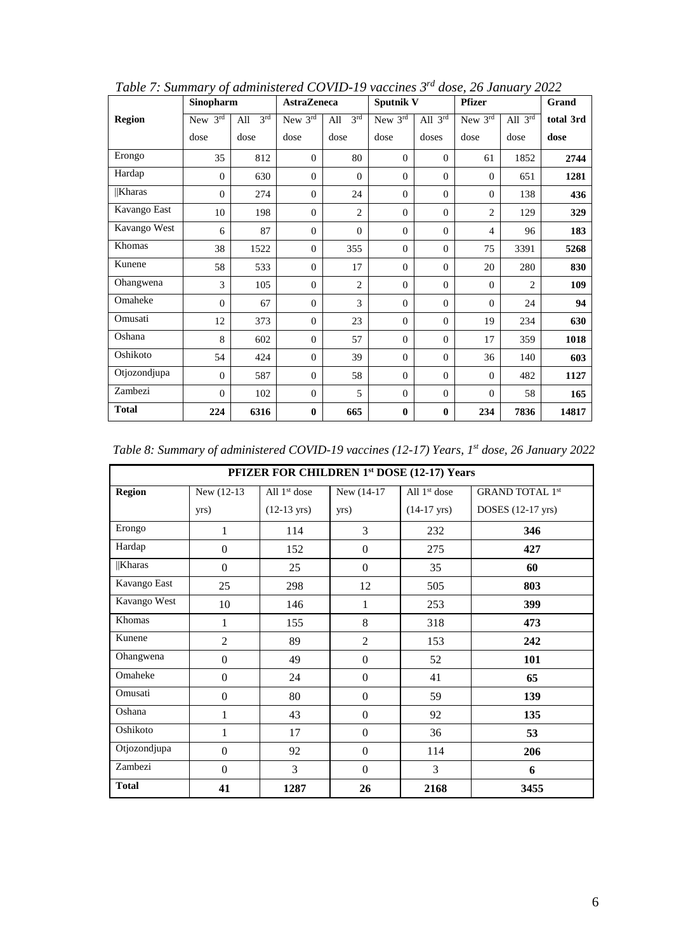|               | Sinopharm      |                        | <b>AstraZeneca</b> |                        | Sputnik V    |                     | <b>Pfizer</b>  |                | Grand     |
|---------------|----------------|------------------------|--------------------|------------------------|--------------|---------------------|----------------|----------------|-----------|
| <b>Region</b> | New $3rd$      | 3 <sup>rd</sup><br>All | New 3rd            | 3 <sup>rd</sup><br>All | New $3rd$    | All $3^{\text{rd}}$ | New $3rd$      | All $3rd$      | total 3rd |
|               | dose           | dose                   | dose               | dose                   | dose         | doses               | dose           | dose           | dose      |
| Erongo        | 35             | 812                    | $\Omega$           | 80                     | $\Omega$     | $\mathbf{0}$        | 61             | 1852           | 2744      |
| Hardap        | $\Omega$       | 630                    | $\theta$           | $\Omega$               | $\Omega$     | $\overline{0}$      | $\Omega$       | 651            | 1281      |
| Kharas        | $\Omega$       | 274                    | $\Omega$           | 24                     | $\Omega$     | $\overline{0}$      | $\Omega$       | 138            | 436       |
| Kavango East  | 10             | 198                    | $\theta$           | $\overline{2}$         | $\mathbf{0}$ | $\boldsymbol{0}$    | $\overline{2}$ | 129            | 329       |
| Kavango West  | 6              | 87                     | $\theta$           | $\Omega$               | $\mathbf{0}$ | $\boldsymbol{0}$    | 4              | 96             | 183       |
| Khomas        | 38             | 1522                   | $\theta$           | 355                    | $\mathbf{0}$ | $\mathbf{0}$        | 75             | 3391           | 5268      |
| Kunene        | 58             | 533                    | $\theta$           | 17                     | $\mathbf{0}$ | $\mathbf{0}$        | 20             | 280            | 830       |
| Ohangwena     | 3              | 105                    | $\theta$           | $\overline{2}$         | $\mathbf{0}$ | $\mathbf{0}$        | $\overline{0}$ | $\overline{2}$ | 109       |
| Omaheke       | $\overline{0}$ | 67                     | $\overline{0}$     | 3                      | $\Omega$     | $\mathbf{0}$        | $\mathbf{0}$   | 24             | 94        |
| Omusati       | 12             | 373                    | $\overline{0}$     | 23                     | $\mathbf{0}$ | $\mathbf{0}$        | 19             | 234            | 630       |
| Oshana        | 8              | 602                    | $\overline{0}$     | 57                     | $\mathbf{0}$ | $\mathbf{0}$        | 17             | 359            | 1018      |
| Oshikoto      | 54             | 424                    | $\mathbf{0}$       | 39                     | $\mathbf{0}$ | $\mathbf{0}$        | 36             | 140            | 603       |
| Otjozondjupa  | $\mathbf{0}$   | 587                    | $\theta$           | 58                     | $\mathbf{0}$ | $\mathbf{0}$        | $\overline{0}$ | 482            | 1127      |
| Zambezi       | $\mathbf{0}$   | 102                    | $\theta$           | 5                      | $\mathbf{0}$ | $\mathbf{0}$        | $\mathbf{0}$   | 58             | 165       |
| <b>Total</b>  | 224            | 6316                   | $\bf{0}$           | 665                    | $\bf{0}$     | $\bf{0}$            | 234            | 7836           | 14817     |

*Table 7: Summary of administered COVID-19 vaccines 3rd dose, 26 January 2022*

| PFIZER FOR CHILDREN 1st DOSE (12-17) Years |                  |                       |                  |                       |                        |  |  |  |
|--------------------------------------------|------------------|-----------------------|------------------|-----------------------|------------------------|--|--|--|
| <b>Region</b>                              | New (12-13)      | All $1st$ dose        | New (14-17)      | All $1st$ dose        | <b>GRAND TOTAL 1st</b> |  |  |  |
|                                            | yrs)             | $(12-13 \text{ yrs})$ | yrs)             | $(14-17 \text{ yrs})$ | DOSES (12-17 yrs)      |  |  |  |
| Erongo                                     | 1                | 114                   | 3                | 232                   | 346                    |  |  |  |
| Hardap                                     | $\Omega$         | 152                   | $\Omega$         | 275                   | 427                    |  |  |  |
| <b>Kharas</b>                              | $\Omega$         | 25                    | $\overline{0}$   | 35                    | 60                     |  |  |  |
| Kavango East                               | 25               | 298                   | 12               | 505                   | 803                    |  |  |  |
| Kavango West                               | 10               | 146                   | $\mathbf{1}$     | 253                   | 399                    |  |  |  |
| Khomas                                     | 1                | 155                   | 8                | 318                   | 473                    |  |  |  |
| Kunene                                     | $\overline{2}$   | 89                    | $\overline{2}$   | 153                   | 242                    |  |  |  |
| Ohangwena                                  | $\boldsymbol{0}$ | 49                    | $\boldsymbol{0}$ | 52                    | 101                    |  |  |  |
| Omaheke                                    | $\mathbf{0}$     | 24                    | $\theta$         | 41                    | 65                     |  |  |  |
| Omusati                                    | $\mathbf{0}$     | 80                    | $\overline{0}$   | 59                    | 139                    |  |  |  |
| Oshana                                     | 1                | 43                    | $\overline{0}$   | 92                    | 135                    |  |  |  |
| Oshikoto                                   | 1                | 17                    | $\Omega$         | 36                    | 53                     |  |  |  |
| Otjozondjupa                               | $\overline{0}$   | 92                    | $\overline{0}$   | 114                   | 206                    |  |  |  |
| Zambezi                                    | $\Omega$         | 3                     | $\overline{0}$   | 3                     | 6                      |  |  |  |
| <b>Total</b>                               | 41               | 1287                  | 26               | 2168                  | 3455                   |  |  |  |